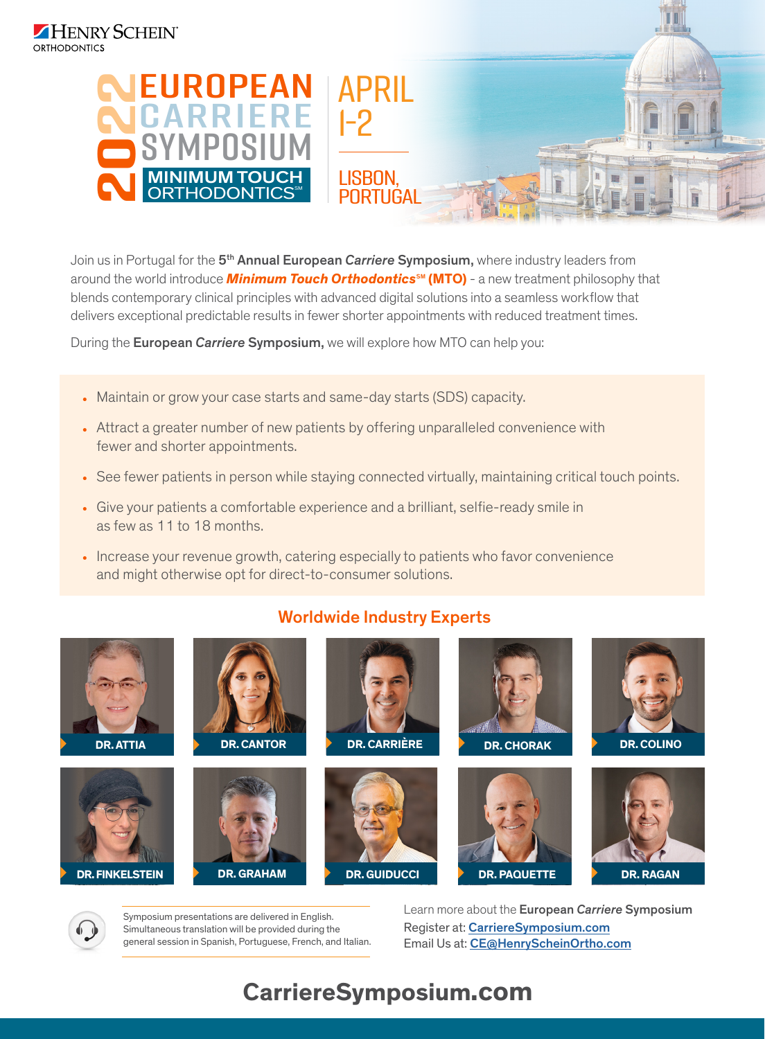

Join us in Portugal for the 5th Annual European *Carriere* Symposium, where industry leaders from around the world introduce **Minimum Touch Orthodontics**<sup>5M</sup> (MTO) - a new treatment philosophy that blends contemporary clinical principles with advanced digital solutions into a seamless workflow that delivers exceptional predictable results in fewer shorter appointments with reduced treatment times.

During the European *Carriere* Symposium, we will explore how MTO can help you:

- Maintain or grow your case starts and same-day starts (SDS) capacity.
- Attract a greater number of new patients by offering unparalleled convenience with fewer and shorter appointments.
- See fewer patients in person while staying connected virtually, maintaining critical touch points.
- Give your patients a comfortable experience and a brilliant, selfie-ready smile in as few as 11 to 18 months.
- Increase your revenue growth, catering especially to patients who favor convenience and might otherwise opt for direct-to-consumer solutions.



## Worldwide Industry Experts

Symposium presentations are delivered in English. Simultaneous translation will be provided during the general session in Spanish, Portuguese, French, and Italian. Learn more about the European *Carriere* Symposium Register at: CarriereSymposium.com Email Us at: CE@HenryScheinOrtho.com

# **CarriereSymposium.com**